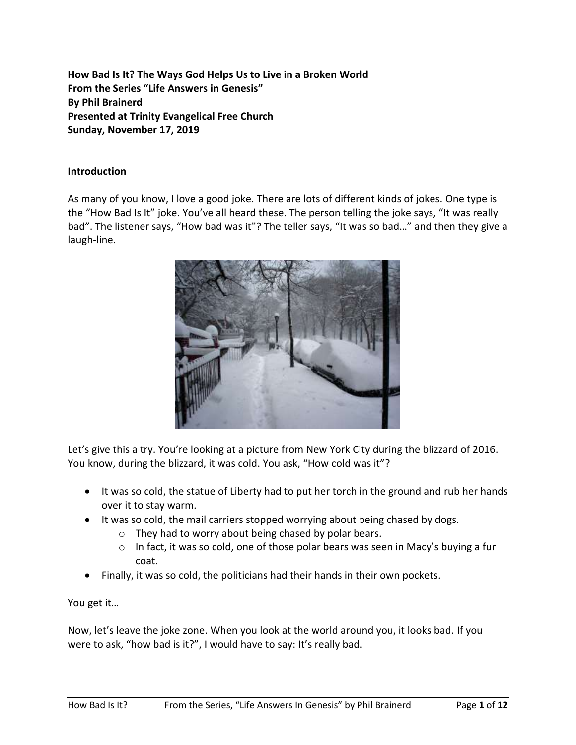**How Bad Is It? The Ways God Helps Us to Live in a Broken World From the Series "Life Answers in Genesis" By Phil Brainerd Presented at Trinity Evangelical Free Church Sunday, November 17, 2019**

#### **Introduction**

As many of you know, I love a good joke. There are lots of different kinds of jokes. One type is the "How Bad Is It" joke. You've all heard these. The person telling the joke says, "It was really bad". The listener says, "How bad was it"? The teller says, "It was so bad…" and then they give a laugh-line.



Let's give this a try. You're looking at a picture from New York City during the blizzard of 2016. You know, during the blizzard, it was cold. You ask, "How cold was it"?

- It was so cold, the statue of Liberty had to put her torch in the ground and rub her hands over it to stay warm.
- It was so cold, the mail carriers stopped worrying about being chased by dogs.
	- o They had to worry about being chased by polar bears.
	- $\circ$  In fact, it was so cold, one of those polar bears was seen in Macy's buying a fur coat.
- Finally, it was so cold, the politicians had their hands in their own pockets.

You get it…

Now, let's leave the joke zone. When you look at the world around you, it looks bad. If you were to ask, "how bad is it?", I would have to say: It's really bad.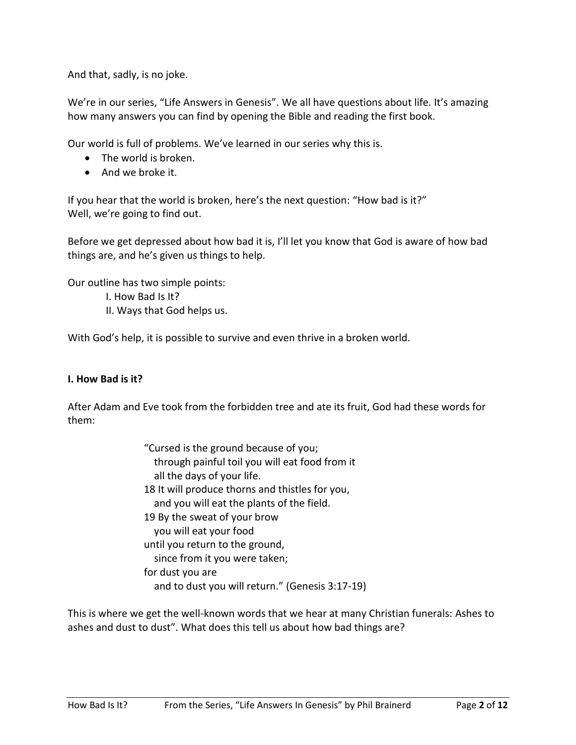And that, sadly, is no joke.

We're in our series, "Life Answers in Genesis". We all have questions about life. It's amazing how many answers you can find by opening the Bible and reading the first book.

Our world is full of problems. We've learned in our series why this is.

- The world is broken.
- And we broke it.

If you hear that the world is broken, here's the next question: "How bad is it?" Well, we're going to find out.

Before we get depressed about how bad it is, I'll let you know that God is aware of how bad things are, and he's given us things to help.

Our outline has two simple points:

- I. How Bad Is It?
- II. Ways that God helps us.

With God's help, it is possible to survive and even thrive in a broken world.

#### **I. How Bad is it?**

After Adam and Eve took from the forbidden tree and ate its fruit, God had these words for them:

> "Cursed is the ground because of you; through painful toil you will eat food from it all the days of your life. 18 It will produce thorns and thistles for you, and you will eat the plants of the field. 19 By the sweat of your brow you will eat your food until you return to the ground, since from it you were taken; for dust you are and to dust you will return." (Genesis 3:17-19)

This is where we get the well-known words that we hear at many Christian funerals: Ashes to ashes and dust to dust". What does this tell us about how bad things are?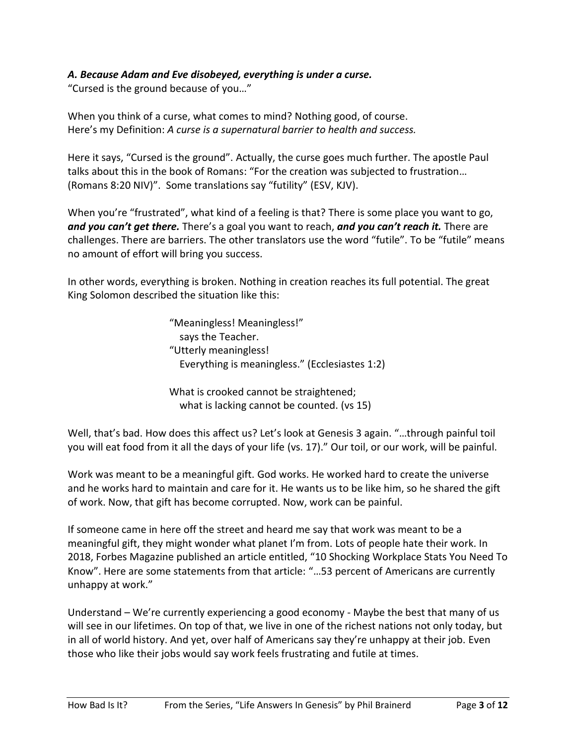## *A. Because Adam and Eve disobeyed, everything is under a curse.*

"Cursed is the ground because of you…"

When you think of a curse, what comes to mind? Nothing good, of course. Here's my Definition: *A curse is a supernatural barrier to health and success.*

Here it says, "Cursed is the ground". Actually, the curse goes much further. The apostle Paul talks about this in the book of Romans: "For the creation was subjected to frustration… (Romans 8:20 NIV)". Some translations say "futility" (ESV, KJV).

When you're "frustrated", what kind of a feeling is that? There is some place you want to go, *and you can't get there.* There's a goal you want to reach, *and you can't reach it.* There are challenges. There are barriers. The other translators use the word "futile". To be "futile" means no amount of effort will bring you success.

In other words, everything is broken. Nothing in creation reaches its full potential. The great King Solomon described the situation like this:

> "Meaningless! Meaningless!" says the Teacher. "Utterly meaningless! Everything is meaningless." (Ecclesiastes 1:2)

What is crooked cannot be straightened; what is lacking cannot be counted. (vs 15)

Well, that's bad. How does this affect us? Let's look at Genesis 3 again. "…through painful toil you will eat food from it all the days of your life (vs. 17)." Our toil, or our work, will be painful.

Work was meant to be a meaningful gift. God works. He worked hard to create the universe and he works hard to maintain and care for it. He wants us to be like him, so he shared the gift of work. Now, that gift has become corrupted. Now, work can be painful.

If someone came in here off the street and heard me say that work was meant to be a meaningful gift, they might wonder what planet I'm from. Lots of people hate their work. In 2018, Forbes Magazine published an article entitled, "10 Shocking Workplace Stats You Need To Know". Here are some statements from that article: "…53 percent of Americans are currently unhappy at work."

Understand – We're currently experiencing a good economy - Maybe the best that many of us will see in our lifetimes. On top of that, we live in one of the richest nations not only today, but in all of world history. And yet, over half of Americans say they're unhappy at their job. Even those who like their jobs would say work feels frustrating and futile at times.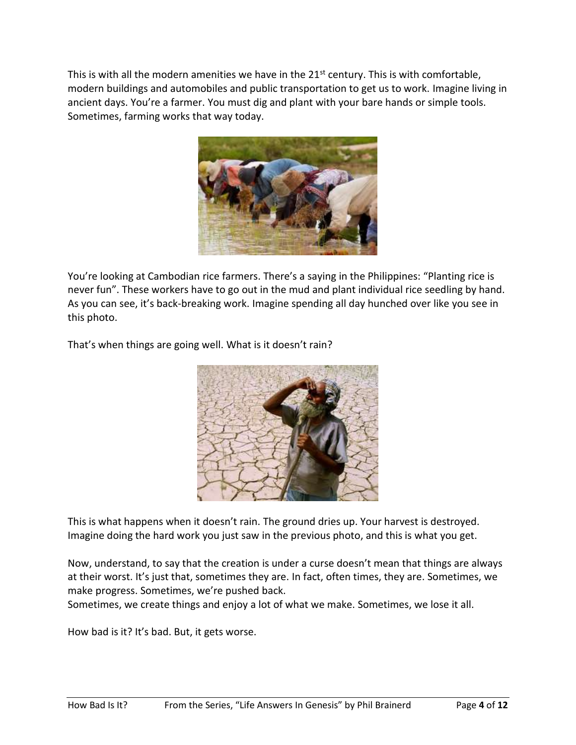This is with all the modern amenities we have in the  $21<sup>st</sup>$  century. This is with comfortable, modern buildings and automobiles and public transportation to get us to work. Imagine living in ancient days. You're a farmer. You must dig and plant with your bare hands or simple tools. Sometimes, farming works that way today.



You're looking at Cambodian rice farmers. There's a saying in the Philippines: "Planting rice is never fun". These workers have to go out in the mud and plant individual rice seedling by hand. As you can see, it's back-breaking work. Imagine spending all day hunched over like you see in this photo.

That's when things are going well. What is it doesn't rain?



This is what happens when it doesn't rain. The ground dries up. Your harvest is destroyed. Imagine doing the hard work you just saw in the previous photo, and this is what you get.

Now, understand, to say that the creation is under a curse doesn't mean that things are always at their worst. It's just that, sometimes they are. In fact, often times, they are. Sometimes, we make progress. Sometimes, we're pushed back.

Sometimes, we create things and enjoy a lot of what we make. Sometimes, we lose it all.

How bad is it? It's bad. But, it gets worse.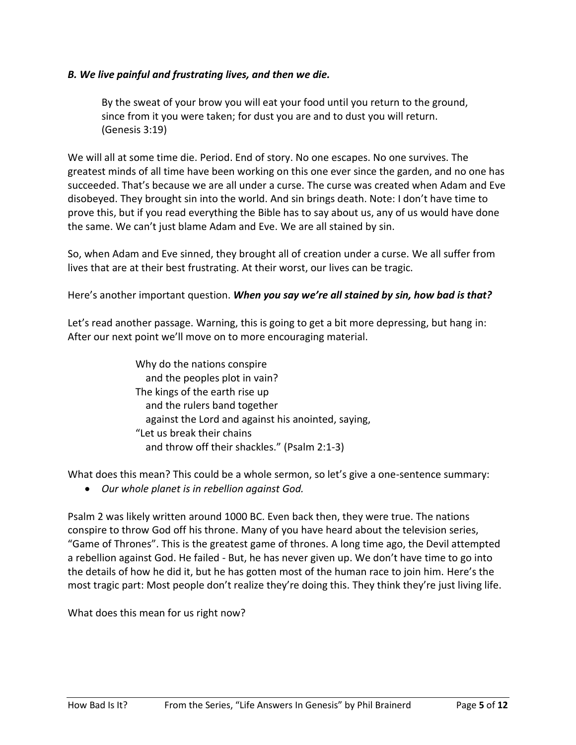#### *B. We live painful and frustrating lives, and then we die.*

By the sweat of your brow you will eat your food until you return to the ground, since from it you were taken; for dust you are and to dust you will return. (Genesis 3:19)

We will all at some time die. Period. End of story. No one escapes. No one survives. The greatest minds of all time have been working on this one ever since the garden, and no one has succeeded. That's because we are all under a curse. The curse was created when Adam and Eve disobeyed. They brought sin into the world. And sin brings death. Note: I don't have time to prove this, but if you read everything the Bible has to say about us, any of us would have done the same. We can't just blame Adam and Eve. We are all stained by sin.

So, when Adam and Eve sinned, they brought all of creation under a curse. We all suffer from lives that are at their best frustrating. At their worst, our lives can be tragic.

Here's another important question. *When you say we're all stained by sin, how bad is that?*

Let's read another passage. Warning, this is going to get a bit more depressing, but hang in: After our next point we'll move on to more encouraging material.

> Why do the nations conspire and the peoples plot in vain? The kings of the earth rise up and the rulers band together against the Lord and against his anointed, saying, "Let us break their chains and throw off their shackles." (Psalm 2:1-3)

What does this mean? This could be a whole sermon, so let's give a one-sentence summary:

• *Our whole planet is in rebellion against God.*

Psalm 2 was likely written around 1000 BC. Even back then, they were true. The nations conspire to throw God off his throne. Many of you have heard about the television series, "Game of Thrones". This is the greatest game of thrones. A long time ago, the Devil attempted a rebellion against God. He failed - But, he has never given up. We don't have time to go into the details of how he did it, but he has gotten most of the human race to join him. Here's the most tragic part: Most people don't realize they're doing this. They think they're just living life.

What does this mean for us right now?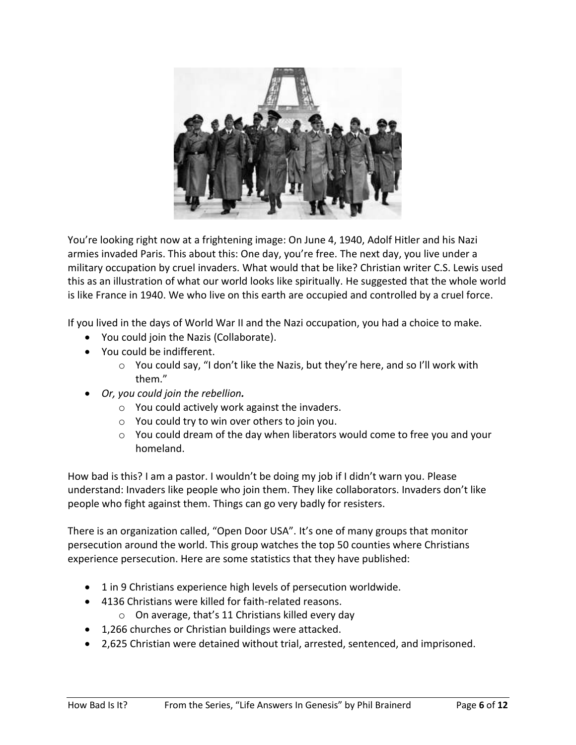

You're looking right now at a frightening image: On June 4, 1940, Adolf Hitler and his Nazi armies invaded Paris. This about this: One day, you're free. The next day, you live under a military occupation by cruel invaders. What would that be like? Christian writer C.S. Lewis used this as an illustration of what our world looks like spiritually. He suggested that the whole world is like France in 1940. We who live on this earth are occupied and controlled by a cruel force.

If you lived in the days of World War II and the Nazi occupation, you had a choice to make.

- You could join the Nazis (Collaborate).
- You could be indifferent.
	- $\circ$  You could say, "I don't like the Nazis, but they're here, and so I'll work with them."
- *Or, you could join the rebellion.*
	- o You could actively work against the invaders.
	- o You could try to win over others to join you.
	- $\circ$  You could dream of the day when liberators would come to free you and your homeland.

How bad is this? I am a pastor. I wouldn't be doing my job if I didn't warn you. Please understand: Invaders like people who join them. They like collaborators. Invaders don't like people who fight against them. Things can go very badly for resisters.

There is an organization called, "Open Door USA". It's one of many groups that monitor persecution around the world. This group watches the top 50 counties where Christians experience persecution. Here are some statistics that they have published:

- 1 in 9 Christians experience high levels of persecution worldwide.
- 4136 Christians were killed for faith-related reasons.
	- o On average, that's 11 Christians killed every day
- 1,266 churches or Christian buildings were attacked.
- 2,625 Christian were detained without trial, arrested, sentenced, and imprisoned.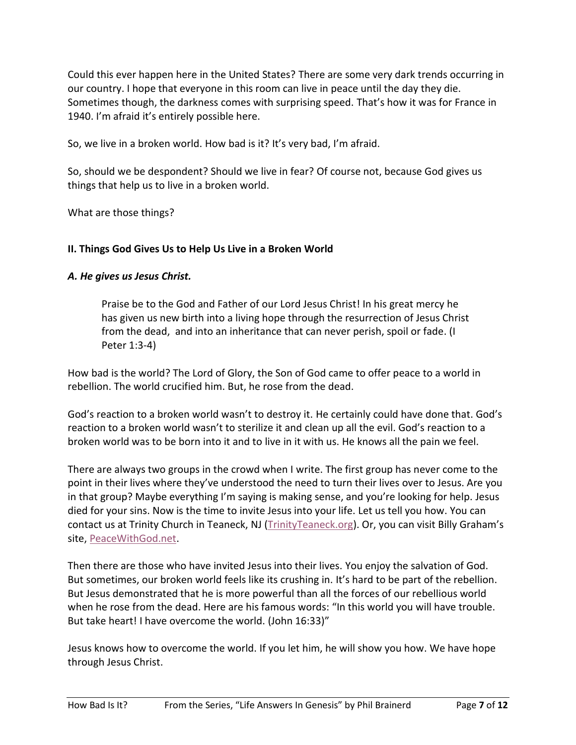Could this ever happen here in the United States? There are some very dark trends occurring in our country. I hope that everyone in this room can live in peace until the day they die. Sometimes though, the darkness comes with surprising speed. That's how it was for France in 1940. I'm afraid it's entirely possible here.

So, we live in a broken world. How bad is it? It's very bad, I'm afraid.

So, should we be despondent? Should we live in fear? Of course not, because God gives us things that help us to live in a broken world.

What are those things?

## **II. Things God Gives Us to Help Us Live in a Broken World**

## *A. He gives us Jesus Christ.*

Praise be to the God and Father of our Lord Jesus Christ! In his great mercy he has given us new birth into a living hope through the resurrection of Jesus Christ from the dead, and into an inheritance that can never perish, spoil or fade. (I Peter 1:3-4)

How bad is the world? The Lord of Glory, the Son of God came to offer peace to a world in rebellion. The world crucified him. But, he rose from the dead.

God's reaction to a broken world wasn't to destroy it. He certainly could have done that. God's reaction to a broken world wasn't to sterilize it and clean up all the evil. God's reaction to a broken world was to be born into it and to live in it with us. He knows all the pain we feel.

There are always two groups in the crowd when I write. The first group has never come to the point in their lives where they've understood the need to turn their lives over to Jesus. Are you in that group? Maybe everything I'm saying is making sense, and you're looking for help. Jesus died for your sins. Now is the time to invite Jesus into your life. Let us tell you how. You can contact us at Trinity Church in Teaneck, NJ [\(TrinityTeaneck.org\)](https://trinityteaneck.org/). Or, you can visit Billy Graham's site, [PeaceWithGod.net.](https://peacewithgod.net/)

Then there are those who have invited Jesus into their lives. You enjoy the salvation of God. But sometimes, our broken world feels like its crushing in. It's hard to be part of the rebellion. But Jesus demonstrated that he is more powerful than all the forces of our rebellious world when he rose from the dead. Here are his famous words: "In this world you will have trouble. But take heart! I have overcome the world. (John 16:33)"

Jesus knows how to overcome the world. If you let him, he will show you how. We have hope through Jesus Christ.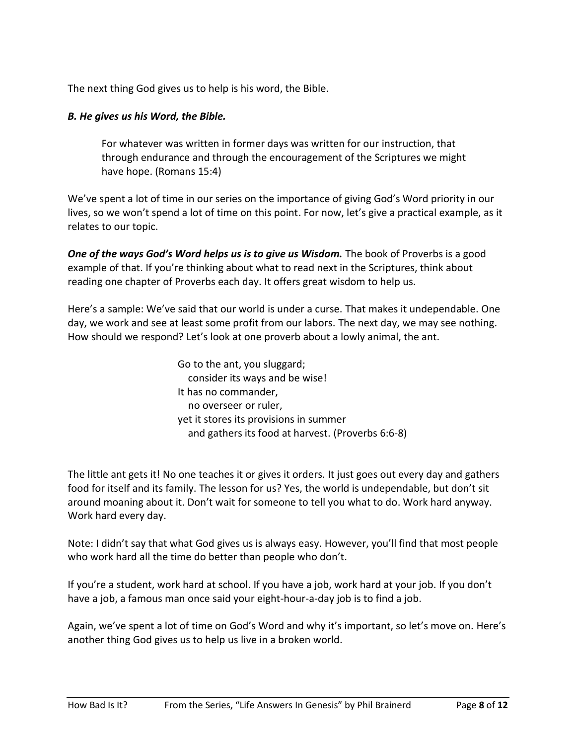The next thing God gives us to help is his word, the Bible.

## *B. He gives us his Word, the Bible.*

For whatever was written in former days was written for our instruction, that through endurance and through the encouragement of the Scriptures we might have hope. (Romans 15:4)

We've spent a lot of time in our series on the importance of giving God's Word priority in our lives, so we won't spend a lot of time on this point. For now, let's give a practical example, as it relates to our topic.

*One of the ways God's Word helps us is to give us Wisdom.* The book of Proverbs is a good example of that. If you're thinking about what to read next in the Scriptures, think about reading one chapter of Proverbs each day. It offers great wisdom to help us.

Here's a sample: We've said that our world is under a curse. That makes it undependable. One day, we work and see at least some profit from our labors. The next day, we may see nothing. How should we respond? Let's look at one proverb about a lowly animal, the ant.

> Go to the ant, you sluggard; consider its ways and be wise! It has no commander, no overseer or ruler, yet it stores its provisions in summer and gathers its food at harvest. (Proverbs 6:6-8)

The little ant gets it! No one teaches it or gives it orders. It just goes out every day and gathers food for itself and its family. The lesson for us? Yes, the world is undependable, but don't sit around moaning about it. Don't wait for someone to tell you what to do. Work hard anyway. Work hard every day.

Note: I didn't say that what God gives us is always easy. However, you'll find that most people who work hard all the time do better than people who don't.

If you're a student, work hard at school. If you have a job, work hard at your job. If you don't have a job, a famous man once said your eight-hour-a-day job is to find a job.

Again, we've spent a lot of time on God's Word and why it's important, so let's move on. Here's another thing God gives us to help us live in a broken world.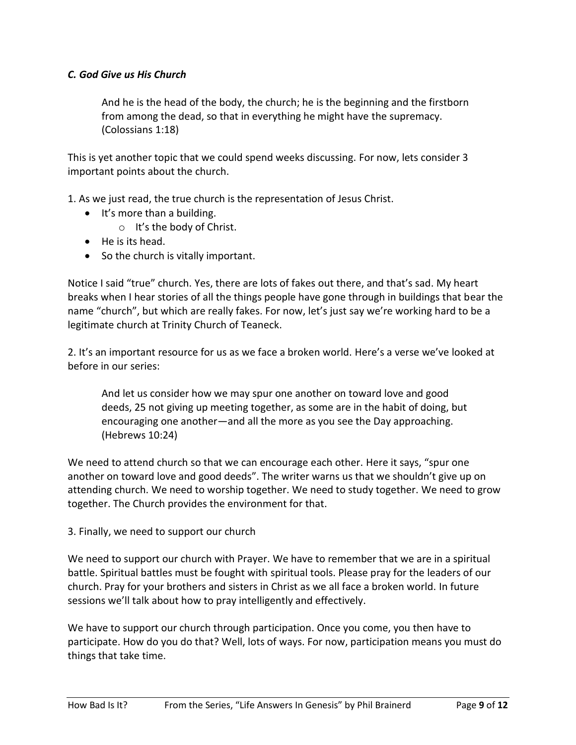## *C. God Give us His Church*

And he is the head of the body, the church; he is the beginning and the firstborn from among the dead, so that in everything he might have the supremacy. (Colossians 1:18)

This is yet another topic that we could spend weeks discussing. For now, lets consider 3 important points about the church.

1. As we just read, the true church is the representation of Jesus Christ.

- It's more than a building.
	- o It's the body of Christ.
- He is its head.
- So the church is vitally important.

Notice I said "true" church. Yes, there are lots of fakes out there, and that's sad. My heart breaks when I hear stories of all the things people have gone through in buildings that bear the name "church", but which are really fakes. For now, let's just say we're working hard to be a legitimate church at Trinity Church of Teaneck.

2. It's an important resource for us as we face a broken world. Here's a verse we've looked at before in our series:

And let us consider how we may spur one another on toward love and good deeds, 25 not giving up meeting together, as some are in the habit of doing, but encouraging one another—and all the more as you see the Day approaching. (Hebrews 10:24)

We need to attend church so that we can encourage each other. Here it says, "spur one another on toward love and good deeds". The writer warns us that we shouldn't give up on attending church. We need to worship together. We need to study together. We need to grow together. The Church provides the environment for that.

#### 3. Finally, we need to support our church

We need to support our church with Prayer. We have to remember that we are in a spiritual battle. Spiritual battles must be fought with spiritual tools. Please pray for the leaders of our church. Pray for your brothers and sisters in Christ as we all face a broken world. In future sessions we'll talk about how to pray intelligently and effectively.

We have to support our church through participation. Once you come, you then have to participate. How do you do that? Well, lots of ways. For now, participation means you must do things that take time.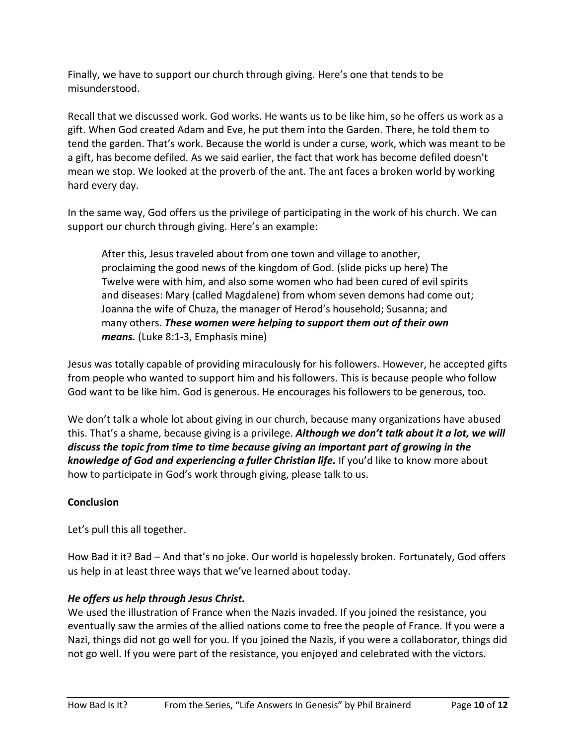Finally, we have to support our church through giving. Here's one that tends to be misunderstood.

Recall that we discussed work. God works. He wants us to be like him, so he offers us work as a gift. When God created Adam and Eve, he put them into the Garden. There, he told them to tend the garden. That's work. Because the world is under a curse, work, which was meant to be a gift, has become defiled. As we said earlier, the fact that work has become defiled doesn't mean we stop. We looked at the proverb of the ant. The ant faces a broken world by working hard every day.

In the same way, God offers us the privilege of participating in the work of his church. We can support our church through giving. Here's an example:

After this, Jesus traveled about from one town and village to another, proclaiming the good news of the kingdom of God. (slide picks up here) The Twelve were with him, and also some women who had been cured of evil spirits and diseases: Mary (called Magdalene) from whom seven demons had come out; Joanna the wife of Chuza, the manager of Herod's household; Susanna; and many others. *These women were helping to support them out of their own means.* (Luke 8:1-3, Emphasis mine)

Jesus was totally capable of providing miraculously for his followers. However, he accepted gifts from people who wanted to support him and his followers. This is because people who follow God want to be like him. God is generous. He encourages his followers to be generous, too.

We don't talk a whole lot about giving in our church, because many organizations have abused this. That's a shame, because giving is a privilege. *Although we don't talk about it a lot, we will discuss the topic from time to time because giving an important part of growing in the knowledge of God and experiencing a fuller Christian life.* If you'd like to know more about how to participate in God's work through giving, please talk to us.

# **Conclusion**

Let's pull this all together.

How Bad it it? Bad – And that's no joke. Our world is hopelessly broken. Fortunately, God offers us help in at least three ways that we've learned about today.

# *He offers us help through Jesus Christ.*

We used the illustration of France when the Nazis invaded. If you joined the resistance, you eventually saw the armies of the allied nations come to free the people of France. If you were a Nazi, things did not go well for you. If you joined the Nazis, if you were a collaborator, things did not go well. If you were part of the resistance, you enjoyed and celebrated with the victors.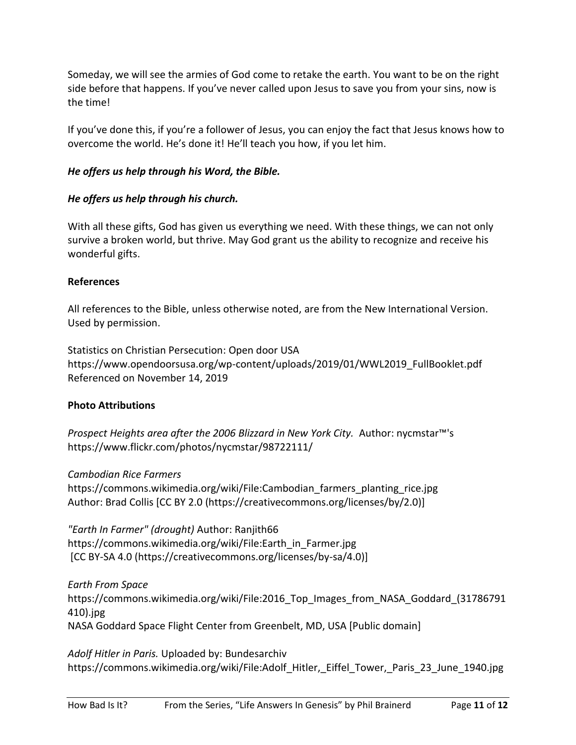Someday, we will see the armies of God come to retake the earth. You want to be on the right side before that happens. If you've never called upon Jesus to save you from your sins, now is the time!

If you've done this, if you're a follower of Jesus, you can enjoy the fact that Jesus knows how to overcome the world. He's done it! He'll teach you how, if you let him.

## *He offers us help through his Word, the Bible.*

## *He offers us help through his church.*

With all these gifts, God has given us everything we need. With these things, we can not only survive a broken world, but thrive. May God grant us the ability to recognize and receive his wonderful gifts.

#### **References**

All references to the Bible, unless otherwise noted, are from the New International Version. Used by permission.

Statistics on Christian Persecution: Open door USA https://www.opendoorsusa.org/wp-content/uploads/2019/01/WWL2019\_FullBooklet.pdf Referenced on November 14, 2019

# **Photo Attributions**

*Prospect Heights area after the 2006 Blizzard in New York City.* Author: nycmstar™'s https://www.flickr.com/photos/nycmstar/98722111/

*Cambodian Rice Farmers*

https://commons.wikimedia.org/wiki/File:Cambodian\_farmers\_planting\_rice.jpg Author: Brad Collis [CC BY 2.0 (https://creativecommons.org/licenses/by/2.0)]

*"Earth In Farmer" (drought)* Author: Ranjith66 https://commons.wikimedia.org/wiki/File:Earth\_in\_Farmer.jpg [CC BY-SA 4.0 (https://creativecommons.org/licenses/by-sa/4.0)]

*Earth From Space* https://commons.wikimedia.org/wiki/File:2016\_Top\_Images\_from\_NASA\_Goddard\_(31786791 410).jpg NASA Goddard Space Flight Center from Greenbelt, MD, USA [Public domain]

*Adolf Hitler in Paris.* Uploaded by: Bundesarchiv https://commons.wikimedia.org/wiki/File:Adolf Hitler, Eiffel Tower, Paris 23 June 1940.jpg